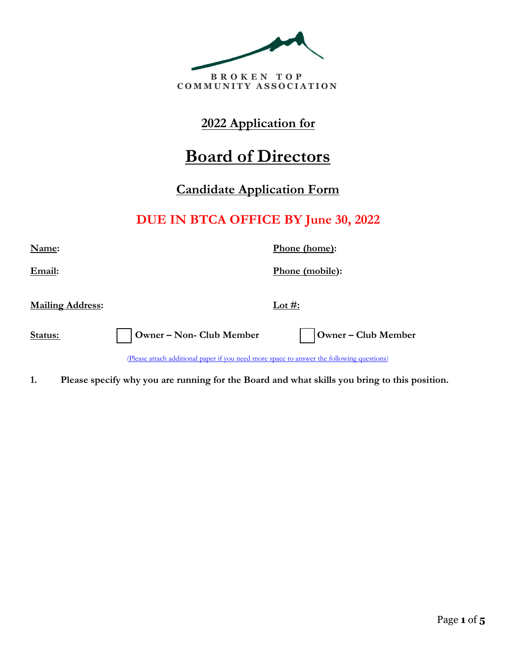

## **2022 Application for**

# **Board of Directors**

### **Candidate Application Form**

# **DUE IN BTCA OFFICE BY June 30, 2022**

**Name: Phone (home):** 

**Email: Phone (mobile):** 

**Mailing Address: Lot #:**

**Status: □ Owner – Non- Club Member □ Owner – Club Member**

(Please attach additional paper if you need more space to answer the following questions)

**1. Please specify why you are running for the Board and what skills you bring to this position.**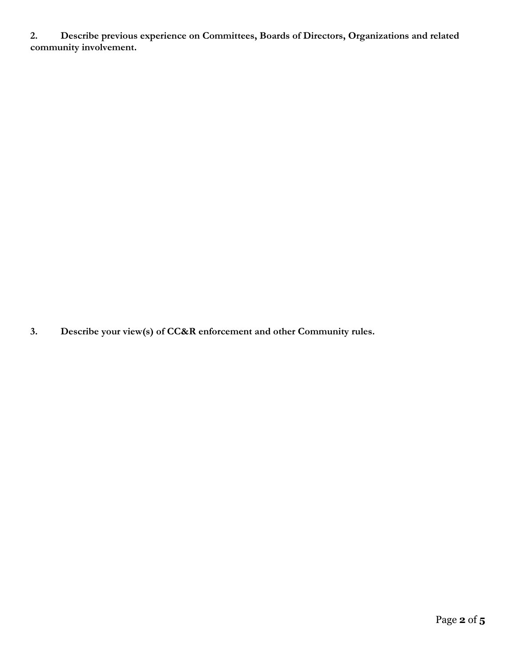**2. Describe previous experience on Committees, Boards of Directors, Organizations and related community involvement.**

**3. Describe your view(s) of CC&R enforcement and other Community rules.**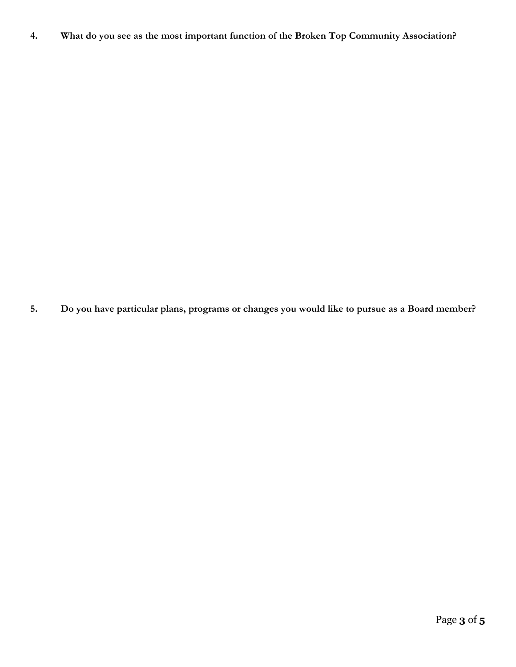**4. What do you see as the most important function of the Broken Top Community Association?**

**5. Do you have particular plans, programs or changes you would like to pursue as a Board member?**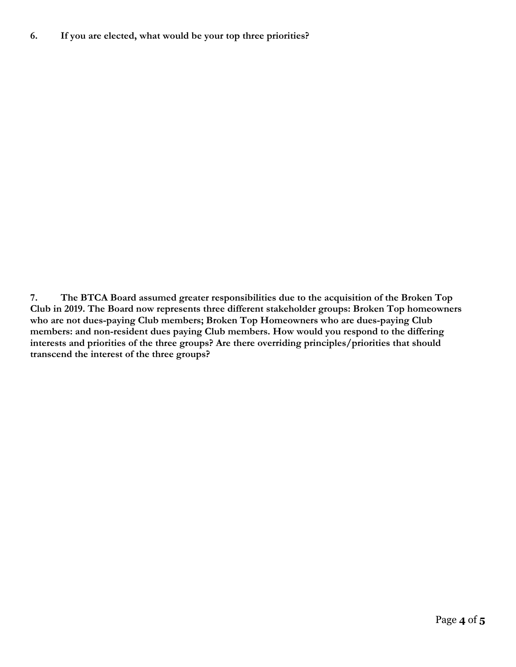**7. The BTCA Board assumed greater responsibilities due to the acquisition of the Broken Top Club in 2019. The Board now represents three different stakeholder groups: Broken Top homeowners who are not dues-paying Club members; Broken Top Homeowners who are dues-paying Club members: and non-resident dues paying Club members. How would you respond to the differing interests and priorities of the three groups? Are there overriding principles/priorities that should transcend the interest of the three groups?**